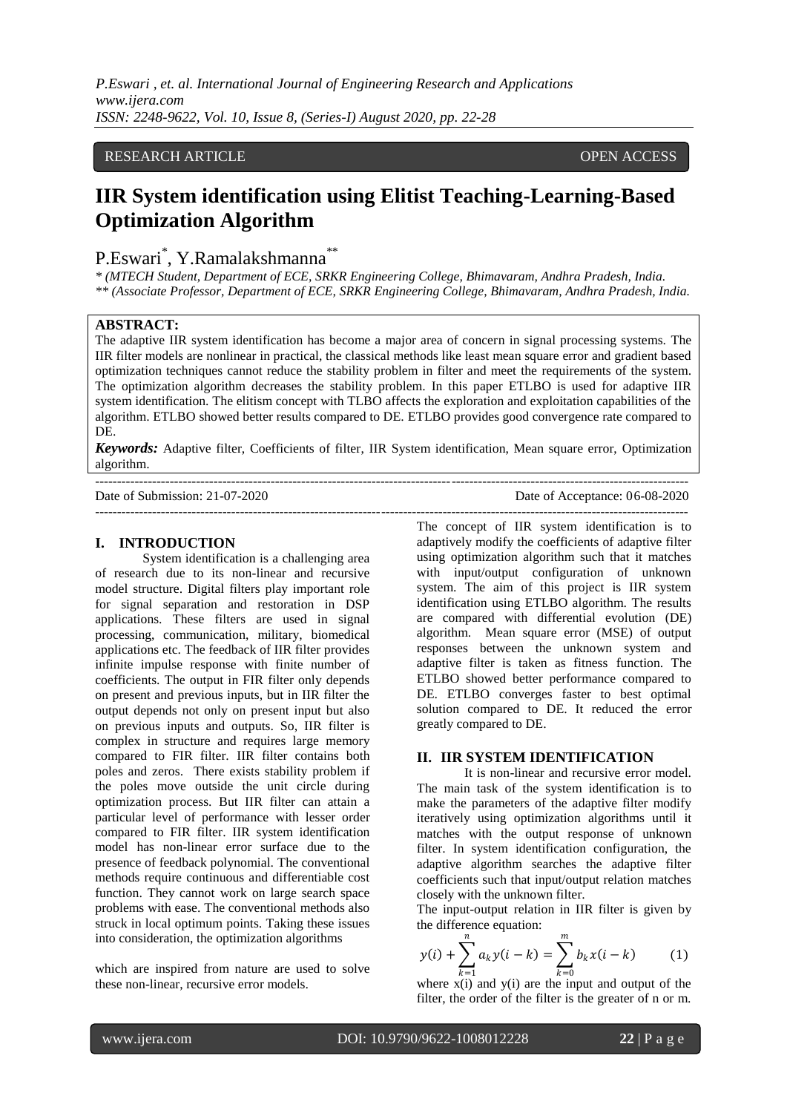*P.Eswari , et. al. International Journal of Engineering Research and Applications www.ijera.com ISSN: 2248-9622, Vol. 10, Issue 8, (Series-I) August 2020, pp. 22-28*

## RESEARCH ARTICLE **CONSERVERS** OPEN ACCESS

# **IIR System identification using Elitist Teaching-Learning-Based Optimization Algorithm**

## P.Eswari<sup>\*</sup>, Y.Ramalakshmanna<sup>\*\*</sup>

*\* (MTECH Student, Department of ECE, SRKR Engineering College, Bhimavaram, Andhra Pradesh, India. \*\* (Associate Professor, Department of ECE, SRKR Engineering College, Bhimavaram, Andhra Pradesh, India.*

#### **ABSTRACT:**

The adaptive IIR system identification has become a major area of concern in signal processing systems. The IIR filter models are nonlinear in practical, the classical methods like least mean square error and gradient based optimization techniques cannot reduce the stability problem in filter and meet the requirements of the system. The optimization algorithm decreases the stability problem. In this paper ETLBO is used for adaptive IIR system identification. The elitism concept with TLBO affects the exploration and exploitation capabilities of the algorithm. ETLBO showed better results compared to DE. ETLBO provides good convergence rate compared to DE.

*Keywords:* Adaptive filter, Coefficients of filter, IIR System identification, Mean square error, Optimization algorithm. ---------------------------------------------------------------------------------------------------------------------------------------

---------------------------------------------------------------------------------------------------------------------------------------

Date of Submission: 21-07-2020 Date of Acceptance: 06-08-2020

## **I. INTRODUCTION**

System identification is a challenging area of research due to its non-linear and recursive model structure. Digital filters play important role for signal separation and restoration in DSP applications. These filters are used in signal processing, communication, military, biomedical applications etc. The feedback of IIR filter provides infinite impulse response with finite number of coefficients. The output in FIR filter only depends on present and previous inputs, but in IIR filter the output depends not only on present input but also on previous inputs and outputs. So, IIR filter is complex in structure and requires large memory compared to FIR filter. IIR filter contains both poles and zeros. There exists stability problem if the poles move outside the unit circle during optimization process. But IIR filter can attain a particular level of performance with lesser order compared to FIR filter. IIR system identification model has non-linear error surface due to the presence of feedback polynomial. The conventional methods require continuous and differentiable cost function. They cannot work on large search space problems with ease. The conventional methods also struck in local optimum points. Taking these issues into consideration, the optimization algorithms

which are inspired from nature are used to solve these non-linear, recursive error models.

The concept of IIR system identification is to adaptively modify the coefficients of adaptive filter using optimization algorithm such that it matches with input/output configuration of unknown system. The aim of this project is IIR system identification using ETLBO algorithm. The results are compared with differential evolution (DE) algorithm. Mean square error (MSE) of output responses between the unknown system and adaptive filter is taken as fitness function. The ETLBO showed better performance compared to DE. ETLBO converges faster to best optimal solution compared to DE. It reduced the error greatly compared to DE.

#### **II. IIR SYSTEM IDENTIFICATION**

It is non-linear and recursive error model. The main task of the system identification is to make the parameters of the adaptive filter modify iteratively using optimization algorithms until it matches with the output response of unknown filter. In system identification configuration, the adaptive algorithm searches the adaptive filter coefficients such that input/output relation matches closely with the unknown filter.

The input-output relation in IIR filter is given by the difference equation:

$$
y(i) + \sum_{k=1}^{n} a_k y(i-k) = \sum_{k=0}^{m} b_k x(i-k)
$$
 (1)

where  $x(i)$  and  $y(i)$  are the input and output of the filter, the order of the filter is the greater of n or m.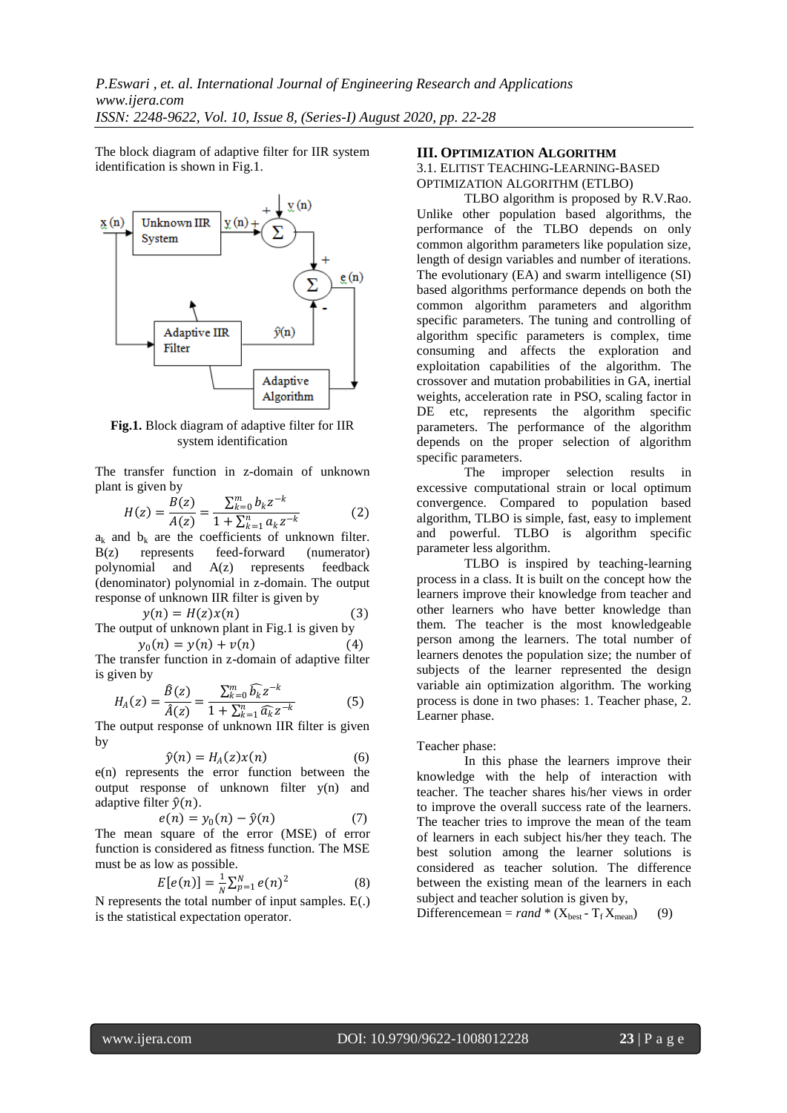The block diagram of adaptive filter for IIR system identification is shown in Fig.1.



**Fig.1.** Block diagram of adaptive filter for IIR system identification

The transfer function in z-domain of unknown plant is given by

$$
H(z) = \frac{B(z)}{A(z)} = \frac{\sum_{k=0}^{m} b_k z^{-k}}{1 + \sum_{k=1}^{n} a_k z^{-k}}
$$
(2)

 $a_k$  and  $b_k$  are the coefficients of unknown filter. B(z) represents feed-forward (numerator) polynomial and A(z) represents feedback (denominator) polynomial in z-domain. The output response of unknown IIR filter is given by

$$
y(n) = H(z)x(n)
$$
 (3)

The output of unknown plant in Fig.1 is given by  $y_0(n) = y(n) + v(n)$  (4)

The transfer function in z-domain of adaptive filter is given by

$$
H_A(z) = \frac{\hat{B}(z)}{\hat{A}(z)} = \frac{\sum_{k=0}^{m} \hat{b}_k z^{-k}}{1 + \sum_{k=1}^{n} \hat{a}_k z^{-k}}
$$
(5)

The output response of unknown IIR filter is given by

$$
\hat{y}(n) = H_A(z)x(n) \tag{6}
$$

e(n) represents the error function between the output response of unknown filter y(n) and adaptive filter  $\hat{v}(n)$ .

$$
e(n) = y_0(n) - \hat{y}(n) \tag{7}
$$

The mean square of the error (MSE) of error function is considered as fitness function. The MSE must be as low as possible.

$$
E[e(n)] = \frac{1}{N} \sum_{p=1}^{N} e(n)^2
$$
 (8)

N represents the total number of input samples. E(.) is the statistical expectation operator.

#### **III. OPTIMIZATION ALGORITHM**

## 3.1. ELITIST TEACHING-LEARNING-BASED OPTIMIZATION ALGORITHM (ETLBO)

TLBO algorithm is proposed by R.V.Rao. Unlike other population based algorithms, the performance of the TLBO depends on only common algorithm parameters like population size, length of design variables and number of iterations. The evolutionary (EA) and swarm intelligence (SI) based algorithms performance depends on both the common algorithm parameters and algorithm specific parameters. The tuning and controlling of algorithm specific parameters is complex, time consuming and affects the exploration and exploitation capabilities of the algorithm. The crossover and mutation probabilities in GA, inertial weights, acceleration rate in PSO, scaling factor in DE etc, represents the algorithm specific parameters. The performance of the algorithm depends on the proper selection of algorithm specific parameters.

The improper selection results in excessive computational strain or local optimum convergence. Compared to population based algorithm, TLBO is simple, fast, easy to implement and powerful. TLBO is algorithm specific parameter less algorithm.

TLBO is inspired by teaching-learning process in a class. It is built on the concept how the learners improve their knowledge from teacher and other learners who have better knowledge than them. The teacher is the most knowledgeable person among the learners. The total number of learners denotes the population size; the number of subjects of the learner represented the design variable ain optimization algorithm. The working process is done in two phases: 1. Teacher phase, 2. Learner phase.

## Teacher phase:

In this phase the learners improve their knowledge with the help of interaction with teacher. The teacher shares his/her views in order to improve the overall success rate of the learners. The teacher tries to improve the mean of the team of learners in each subject his/her they teach. The best solution among the learner solutions is considered as teacher solution. The difference between the existing mean of the learners in each subject and teacher solution is given by,

Differencemean =  $rand * (X_{best} - T_f X_{mean})$  (9)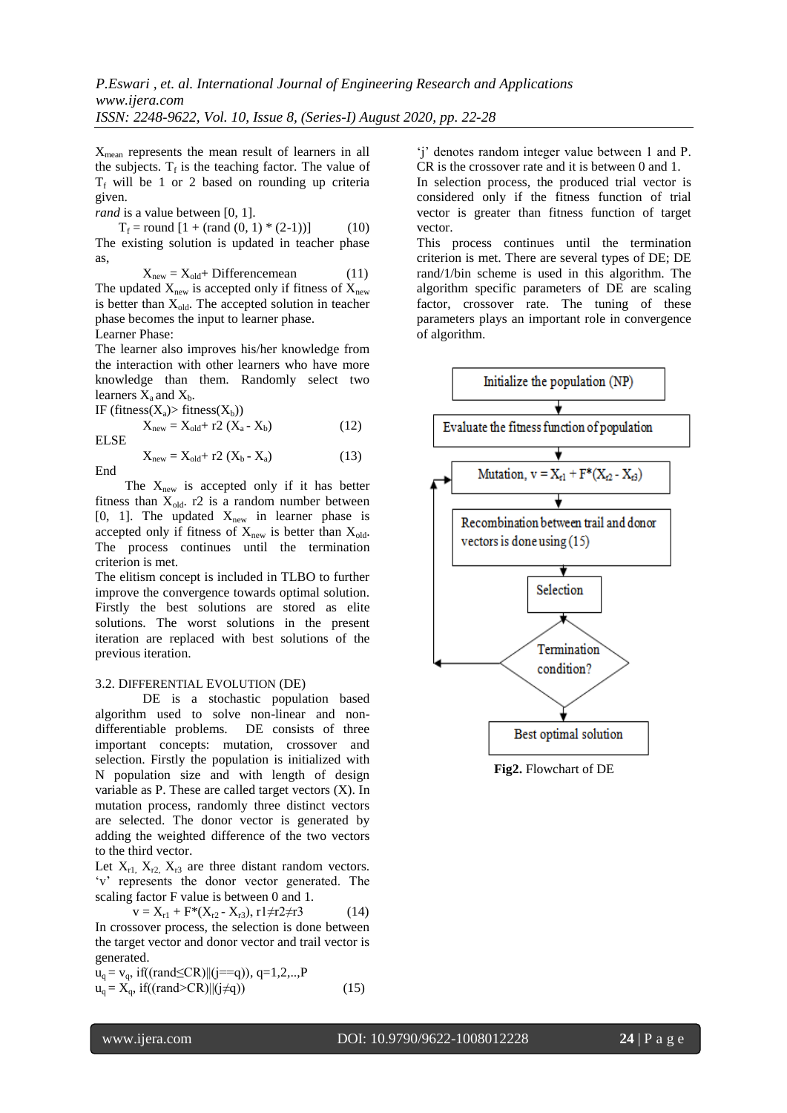$X_{\text{mean}}$  represents the mean result of learners in all the subjects.  $T_f$  is the teaching factor. The value of  $T_f$  will be 1 or 2 based on rounding up criteria given.

*rand* is a value between [0, 1].

 $T_f$  = round  $[1 + (rand(0, 1) * (2-1))]$  (10) The existing solution is updated in teacher phase as,

$$
X_{new} = X_{old} + Differencemean
$$
 (11)

The updated  $X_{\text{new}}$  is accepted only if fitness of  $X_{\text{new}}$ is better than  $X_{old}$ . The accepted solution in teacher phase becomes the input to learner phase. Learner Phase:

The learner also improves his/her knowledge from the interaction with other learners who have more knowledge than them. Randomly select two learners  $X_a$  and  $X_b$ .

IF (fitness $(X_a)$ ) fitness $(X_b)$ )

$$
X_{new} = X_{old} + r2 (X_a - X_b)
$$
 (12)

ELSE

$$
X_{new} = X_{old} + r2 (X_b - X_a)
$$
 (13)

The  $X_{\text{new}}$  is accepted only if it has better fitness than  $X_{old}$ . r2 is a random number between [0, 1]. The updated  $X_{\text{new}}$  in learner phase is accepted only if fitness of  $X_{new}$  is better than  $X_{old}$ . The process continues until the termination criterion is met.

The elitism concept is included in TLBO to further improve the convergence towards optimal solution. Firstly the best solutions are stored as elite solutions. The worst solutions in the present iteration are replaced with best solutions of the previous iteration.

## 3.2. DIFFERENTIAL EVOLUTION (DE)

DE is a stochastic population based algorithm used to solve non-linear and nondifferentiable problems. DE consists of three important concepts: mutation, crossover and selection. Firstly the population is initialized with N population size and with length of design variable as P. These are called target vectors (X). In mutation process, randomly three distinct vectors are selected. The donor vector is generated by adding the weighted difference of the two vectors to the third vector.

Let  $X_{r1}$ ,  $X_{r2}$ ,  $X_{r3}$  are three distant random vectors. 'v' represents the donor vector generated. The scaling factor F value is between 0 and 1.

$$
v = X_{r1} + F^*(X_{r2} - X_{r3}), r1 \neq r2 \neq r3 \tag{14}
$$

In crossover process, the selection is done between the target vector and donor vector and trail vector is generated.

$$
u_q = v_q, if((rand \le CR) || (j == q)), q = 1, 2, \dots, P
$$
  
\n
$$
u_q = X_q, if((rand \ge CR) || (j \ne q))
$$
\n(15)

'j' denotes random integer value between 1 and P. CR is the crossover rate and it is between 0 and 1.

In selection process, the produced trial vector is considered only if the fitness function of trial vector is greater than fitness function of target vector.

This process continues until the termination criterion is met. There are several types of DE; DE rand/1/bin scheme is used in this algorithm. The algorithm specific parameters of DE are scaling factor, crossover rate. The tuning of these parameters plays an important role in convergence of algorithm.



**Fig2.** Flowchart of DE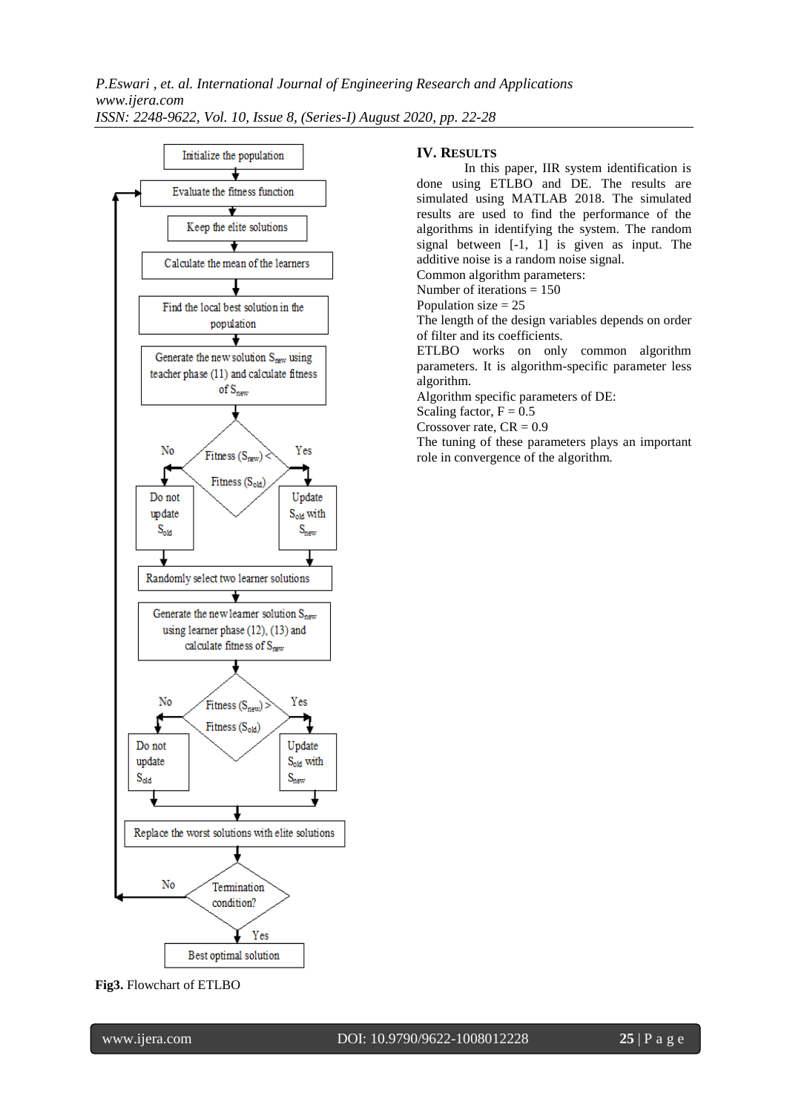*P.Eswari , et. al. International Journal of Engineering Research and Applications www.ijera.com ISSN: 2248-9622, Vol. 10, Issue 8, (Series-I) August 2020, pp. 22-28*



#### **IV. RESULTS**

In this paper, IIR system identification is done using ETLBO and DE. The results are simulated using MATLAB 2018. The simulated results are used to find the performance of the algorithms in identifying the system. The random signal between [-1, 1] is given as input. The additive noise is a random noise signal.

Common algorithm parameters: Number of iterations = 150

Population size  $= 25$ 

The length of the design variables depends on order of filter and its coefficients.

ETLBO works on only common algorithm parameters. It is algorithm-specific parameter less algorithm.

Algorithm specific parameters of DE:

Scaling factor,  $F = 0.5$ 

Crossover rate,  $CR = 0.9$ 

The tuning of these parameters plays an important role in convergence of the algorithm.

## **Fig3.** Flowchart of ETLBO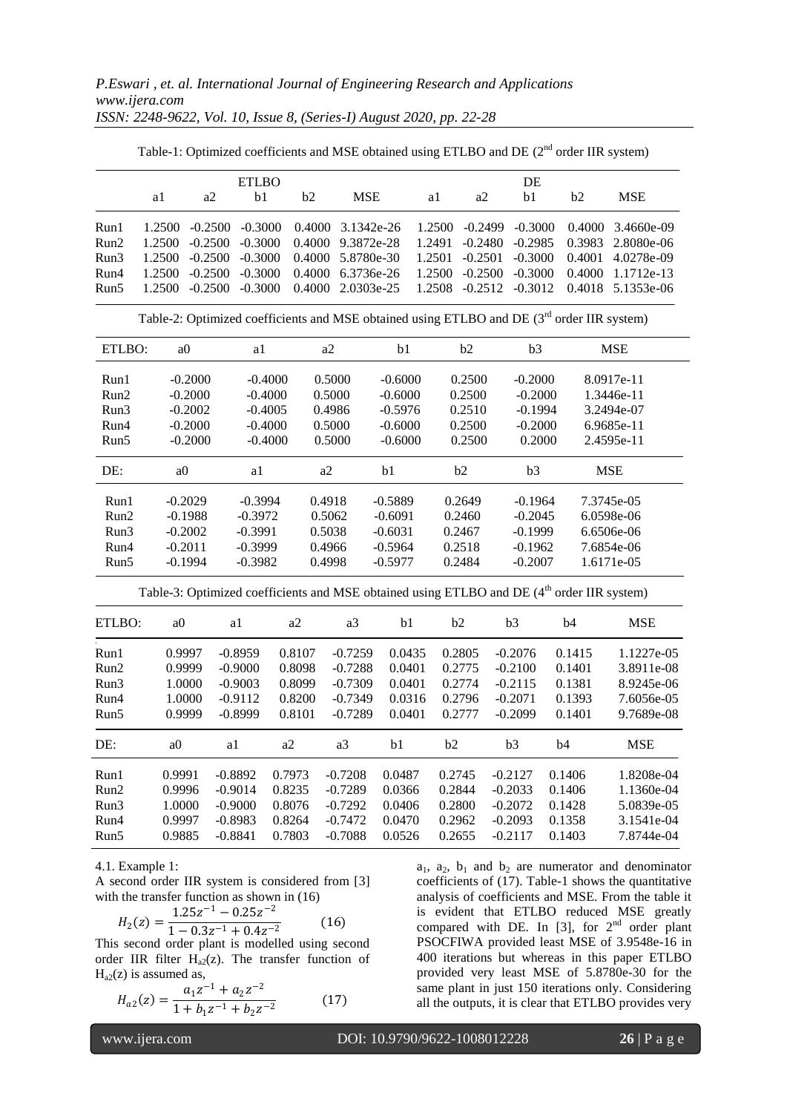|                                                                                                        | <b>ETLBO</b>   |           |           |        |                     |                     | DE     |           |           |        |            |  |
|--------------------------------------------------------------------------------------------------------|----------------|-----------|-----------|--------|---------------------|---------------------|--------|-----------|-----------|--------|------------|--|
|                                                                                                        | a1             | a2        | b1        | b2     | <b>MSE</b>          |                     | a1     | a2        | b1        | b2     | <b>MSE</b> |  |
| Run1                                                                                                   | 1.2500         | $-0.2500$ | $-0.3000$ | 0.4000 | 3.1342e-26          |                     | 1.2500 | $-0.2499$ | $-0.3000$ | 0.4000 | 3.4660e-09 |  |
| Run2                                                                                                   | 1.2500         | $-0.2500$ | $-0.3000$ | 0.4000 | 9.3872e-28          |                     | 1.2491 | $-0.2480$ | $-0.2985$ | 0.3983 | 2.8080e-06 |  |
| Run3                                                                                                   | 1.2500         | $-0.2500$ | $-0.3000$ | 0.4000 | 5.8780e-30          |                     | 1.2501 | $-0.2501$ | $-0.3000$ | 0.4001 | 4.0278e-09 |  |
| Run4                                                                                                   | 1.2500         | $-0.2500$ | $-0.3000$ | 0.4000 | 6.3736e-26          |                     | 1.2500 | $-0.2500$ | $-0.3000$ | 0.4000 | 1.1712e-13 |  |
| Run5                                                                                                   | 1.2500         | $-0.2500$ | $-0.3000$ | 0.4000 | 2.0303e-25          |                     | 1.2508 | $-0.2512$ | $-0.3012$ | 0.4018 | 5.1353e-06 |  |
| Table-2: Optimized coefficients and MSE obtained using ETLBO and DE (3 <sup>rd</sup> order IIR system) |                |           |           |        |                     |                     |        |           |           |        |            |  |
| ETLBO:                                                                                                 | a0             |           | a1        |        | a2                  | b1                  |        | b2        |           |        | <b>MSE</b> |  |
| Run1                                                                                                   | $-0.2000$      |           | $-0.4000$ |        | 0.5000              | $-0.6000$           |        | 0.2500    | $-0.2000$ |        | 8.0917e-11 |  |
| Run2                                                                                                   | $-0.2000$      |           | $-0.4000$ |        | 0.5000              | $-0.6000$           |        | 0.2500    | $-0.2000$ |        | 1.3446e-11 |  |
| Run3                                                                                                   | $-0.2002$      |           | $-0.4005$ |        | 0.4986              | $-0.5976$           |        | 0.2510    | $-0.1994$ |        | 3.2494e-07 |  |
| Run4                                                                                                   | $-0.2000$      |           | $-0.4000$ |        | 0.5000              | $-0.6000$           |        | 0.2500    | $-0.2000$ |        | 6.9685e-11 |  |
| Run5                                                                                                   | $-0.2000$      |           | $-0.4000$ |        | 0.5000              | $-0.6000$<br>0.2500 |        |           | 0.2000    |        | 2.4595e-11 |  |
| DE:                                                                                                    | a <sub>0</sub> |           | a1        |        | a2                  | b1                  |        | b2        | b3        |        | <b>MSE</b> |  |
| Run1                                                                                                   | $-0.2029$      |           | $-0.3994$ |        | 0.4918              | $-0.5889$           |        | 0.2649    | $-0.1964$ |        | 7.3745e-05 |  |
| Run2                                                                                                   | $-0.1988$      |           | $-0.3972$ |        | 0.5062              | $-0.6091$           |        | 0.2460    | $-0.2045$ |        | 6.0598e-06 |  |
| Run3                                                                                                   | $-0.2002$      |           | $-0.3991$ |        | 0.5038              | $-0.6031$           |        | 0.2467    | $-0.1999$ |        | 6.6506e-06 |  |
| Run4                                                                                                   | $-0.2011$      |           | $-0.3999$ |        | 0.4966              | $-0.5964$           |        | 0.2518    | $-0.1962$ |        | 7.6854e-06 |  |
| Run5                                                                                                   | $-0.1994$      |           | $-0.3982$ |        | $-0.5977$<br>0.4998 |                     |        | 0.2484    | $-0.2007$ |        | 1.6171e-05 |  |
| Table-3: Optimized coefficients and MSE obtained using ETLBO and DE (4 <sup>th</sup> order IIR system) |                |           |           |        |                     |                     |        |           |           |        |            |  |
| ETLBO:                                                                                                 | a <sub>0</sub> |           | a1        | a2     | a3                  | b1                  |        | b2        | b3        | b4     | <b>MSE</b> |  |
| Run1                                                                                                   |                | 0.9997    | $-0.8959$ | 0.8107 | $-0.7259$           | 0.0435              |        | 0.2805    | $-0.2076$ | 0.1415 | 1.1227e-05 |  |
| Run2                                                                                                   |                | 0.9999    | $-0.9000$ | 0.8098 | $-0.7288$           | 0.0401              |        | 0.2775    | $-0.2100$ | 0.1401 | 3.8911e-08 |  |
| Run3                                                                                                   |                | 1.0000    | $-0.9003$ | 0.8099 | $-0.7309$           | 0.0401              |        | 0.2774    | $-0.2115$ | 0.1381 | 8.9245e-06 |  |
| Run4                                                                                                   |                | 1.0000    | $-0.9112$ | 0.8200 | $-0.7349$           | 0.0316              |        | 0.2796    | $-0.2071$ | 0.1393 | 7.6056e-05 |  |
| Run5                                                                                                   |                | 0.9999    | $-0.8999$ | 0.8101 | $-0.7289$           | 0.0401              |        | 0.2777    | $-0.2099$ | 0.1401 | 9.7689e-08 |  |
| DE:                                                                                                    | a <sub>0</sub> | a1        |           | a2     | a3                  | b1                  | b2     |           | b3        | b4     | <b>MSE</b> |  |
| Run1                                                                                                   | 0.9991         |           | $-0.8892$ | 0.7973 | $-0.7208$           | 0.0487              |        | 0.2745    | $-0.2127$ | 0.1406 | 1.8208e-04 |  |

Run2 0.9996 -0.9014 0.8235 -0.7289 0.0366 0.2844 -0.2033 0.1406 1.1360e-04 Run3 1.0000 -0.9000 0.8076 -0.7292 0.0406 0.2800 -0.2072 0.1428 5.0839e-05 Run4 0.9997 -0.8983 0.8264 -0.7472 0.0470 0.2962 -0.2093 0.1358 3.1541e-04 Run5 0.9885 -0.8841 0.7803 -0.7088 0.0526 0.2655 -0.2117 0.1403 7.8744e-04

Table-1: Optimized coefficients and MSE obtained using ETLBO and DE (2<sup>nd</sup> order IIR system)

4.1. Example 1:

A second order IIR system is considered from [3] with the transfer function as shown in  $(16)$  $1.25 - 1$ 

$$
H_2(z) = \frac{1.25z^{-1} - 0.25z^{-2}}{1 - 0.3z^{-1} + 0.4z^{-2}}
$$
 (16)

This second order plant is modelled using second order IIR filter  $H_{a2}(z)$ . The transfer function of  $H<sub>a2</sub>(z)$  is assumed as,

$$
H_{a2}(z) = \frac{a_1 z^{-1} + a_2 z^{-2}}{1 + b_1 z^{-1} + b_2 z^{-2}}
$$
 (17)

 $a_1$ ,  $a_2$ ,  $b_1$  and  $b_2$  are numerator and denominator coefficients of (17). Table-1 shows the quantitative analysis of coefficients and MSE. From the table it is evident that ETLBO reduced MSE greatly compared with DE. In  $[3]$ , for  $2<sup>nd</sup>$  order plant PSOCFIWA provided least MSE of 3.9548e-16 in 400 iterations but whereas in this paper ETLBO provided very least MSE of 5.8780e-30 for the same plant in just 150 iterations only. Considering all the outputs, it is clear that ETLBO provides very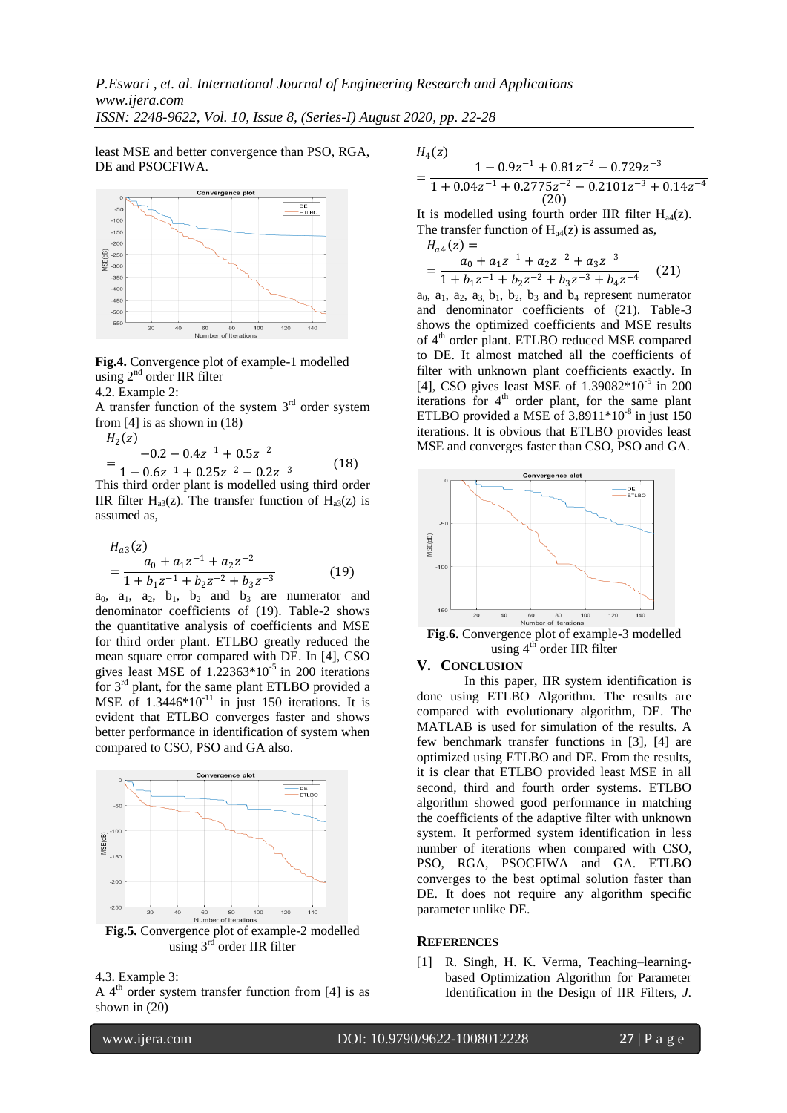least MSE and better convergence than PSO, RGA, DE and PSOCFIWA.



**Fig.4.** Convergence plot of example-1 modelled using 2<sup>nd</sup> order IIR filter

4.2. Example 2:

A transfer function of the system  $3<sup>rd</sup>$  order system from [4] is as shown in (18)

$$
H_2(z)
$$
  
= 
$$
\frac{-0.2 - 0.4z^{-1} + 0.5z^{-2}}{1 - 0.6z^{-1} + 0.25z^{-2} - 0.2z^{-3}}
$$
 (18)

This third order plant is modelled using third order IIR filter  $H_{a3}(z)$ . The transfer function of  $H_{a3}(z)$  is assumed as,

$$
H_{a3}(z)
$$
  
= 
$$
\frac{a_0 + a_1 z^{-1} + a_2 z^{-2}}{1 + b_1 z^{-1} + b_2 z^{-2} + b_3 z^{-3}}
$$
 (19)

 $a_0$ ,  $a_1$ ,  $a_2$ ,  $b_1$ ,  $b_2$  and  $b_3$  are numerator and denominator coefficients of (19). Table-2 shows the quantitative analysis of coefficients and MSE for third order plant. ETLBO greatly reduced the mean square error compared with DE. In [4], CSO gives least MSE of  $1.22363*10^{-5}$  in 200 iterations for 3rd plant, for the same plant ETLBO provided a MSE of  $1.3446*10^{-11}$  in just 150 iterations. It is evident that ETLBO converges faster and shows better performance in identification of system when compared to CSO, PSO and GA also.



**Fig.5.** Convergence plot of example-2 modelled using  $3<sup>rd</sup>$  order IIR filter

4.3. Example 3:

A  $4<sup>th</sup>$  order system transfer function from [4] is as shown in (20)

$$
H_4(z)
$$

$$
=\frac{1-0.9z^{-1}+0.81z^{-2}-0.729z^{-3}}{1+0.04z^{-1}+0.2775z^{-2}-0.2101z^{-3}+0.14z^{-4}}
$$
  
(20)

It is modelled using fourth order IIR filter  $H_{ad}(z)$ . The transfer function of  $H<sub>ad</sub>(z)$  is assumed as,

$$
H_{a4}(z) =
$$
  
= 
$$
\frac{a_0 + a_1 z^{-1} + a_2 z^{-2} + a_3 z^{-3}}{1 + b_1 z^{-1} + b_2 z^{-2} + b_3 z^{-3} + b_4 z^{-4}}
$$
 (21)

 $a_0$ ,  $a_1$ ,  $a_2$ ,  $a_3$ ,  $b_1$ ,  $b_2$ ,  $b_3$  and  $b_4$  represent numerator and denominator coefficients of (21). Table-3 shows the optimized coefficients and MSE results of 4<sup>th</sup> order plant. ETLBO reduced MSE compared to DE. It almost matched all the coefficients of filter with unknown plant coefficients exactly. In [4], CSO gives least MSE of 1.39082\*10<sup>-5</sup> in 200 iterations for  $4<sup>th</sup>$  order plant, for the same plant ETLBO provided a MSE of 3.8911\*10<sup>-8</sup> in just 150 iterations. It is obvious that ETLBO provides least MSE and converges faster than CSO, PSO and GA.



**Fig.6.** Convergence plot of example-3 modelled using  $4<sup>th</sup>$  order IIR filter

#### **V. CONCLUSION**

In this paper, IIR system identification is done using ETLBO Algorithm. The results are compared with evolutionary algorithm, DE. The MATLAB is used for simulation of the results. A few benchmark transfer functions in [3], [4] are optimized using ETLBO and DE. From the results, it is clear that ETLBO provided least MSE in all second, third and fourth order systems. ETLBO algorithm showed good performance in matching the coefficients of the adaptive filter with unknown system. It performed system identification in less number of iterations when compared with CSO, PSO, RGA, PSOCFIWA and GA. ETLBO converges to the best optimal solution faster than DE. It does not require any algorithm specific parameter unlike DE.

#### **REFERENCES**

[1] R. Singh, H. K. Verma, Teaching–learningbased Optimization Algorithm for Parameter Identification in the Design of IIR Filters, *J.*